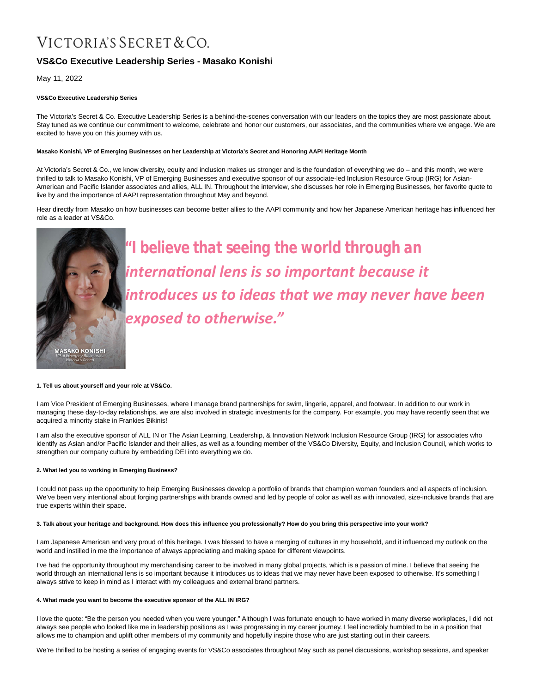# VICTORIA'S SECRET & CO.

# **VS&Co Executive Leadership Series - Masako Konishi**

May 11, 2022

# **VS&Co Executive Leadership Series**

The Victoria's Secret & Co. Executive Leadership Series is a behind-the-scenes conversation with our leaders on the topics they are most passionate about. Stay tuned as we continue our commitment to welcome, celebrate and honor our customers, our associates, and the communities where we engage. We are excited to have you on this journey with us.

## **Masako Konishi, VP of Emerging Businesses on her Leadership at Victoria's Secret and Honoring AAPI Heritage Month**

At Victoria's Secret & Co., we know diversity, equity and inclusion makes us stronger and is the foundation of everything we do – and this month, we were thrilled to talk to Masako Konishi, VP of Emerging Businesses and executive sponsor of our associate-led Inclusion Resource Group (IRG) for Asian-American and Pacific Islander associates and allies, ALL IN. Throughout the interview, she discusses her role in Emerging Businesses, her favorite quote to live by and the importance of AAPI representation throughout May and beyond.

Hear directly from Masako on how businesses can become better allies to the AAPI community and how her Japanese American heritage has influenced her role as a leader at VS&Co.



*"I believe that seeing the world through an internaƟonal lens is so important because it introduces us to ideas that we may never have been exposed to otherwise."*

#### **1. Tell us about yourself and your role at VS&Co.**

I am Vice President of Emerging Businesses, where I manage brand partnerships for swim, lingerie, apparel, and footwear. In addition to our work in managing these day-to-day relationships, we are also involved in strategic investments for the company. For example, you may have recently seen that we acquired a minority stake in Frankies Bikinis!

I am also the executive sponsor of ALL IN or The Asian Learning, Leadership, & Innovation Network Inclusion Resource Group (IRG) for associates who identify as Asian and/or Pacific Islander and their allies, as well as a founding member of the VS&Co Diversity, Equity, and Inclusion Council, which works to strengthen our company culture by embedding DEI into everything we do.

# **2. What led you to working in Emerging Business?**

I could not pass up the opportunity to help Emerging Businesses develop a portfolio of brands that champion woman founders and all aspects of inclusion. We've been very intentional about forging partnerships with brands owned and led by people of color as well as with innovated, size-inclusive brands that are true experts within their space.

## **3. Talk about your heritage and background. How does this influence you professionally? How do you bring this perspective into your work?**

I am Japanese American and very proud of this heritage. I was blessed to have a merging of cultures in my household, and it influenced my outlook on the world and instilled in me the importance of always appreciating and making space for different viewpoints.

I've had the opportunity throughout my merchandising career to be involved in many global projects, which is a passion of mine. I believe that seeing the world through an international lens is so important because it introduces us to ideas that we may never have been exposed to otherwise. It's something I always strive to keep in mind as I interact with my colleagues and external brand partners.

## **4. What made you want to become the executive sponsor of the ALL IN IRG?**

I love the quote: "Be the person you needed when you were younger." Although I was fortunate enough to have worked in many diverse workplaces, I did not always see people who looked like me in leadership positions as I was progressing in my career journey. I feel incredibly humbled to be in a position that allows me to champion and uplift other members of my community and hopefully inspire those who are just starting out in their careers.

We're thrilled to be hosting a series of engaging events for VS&Co associates throughout May such as panel discussions, workshop sessions, and speaker